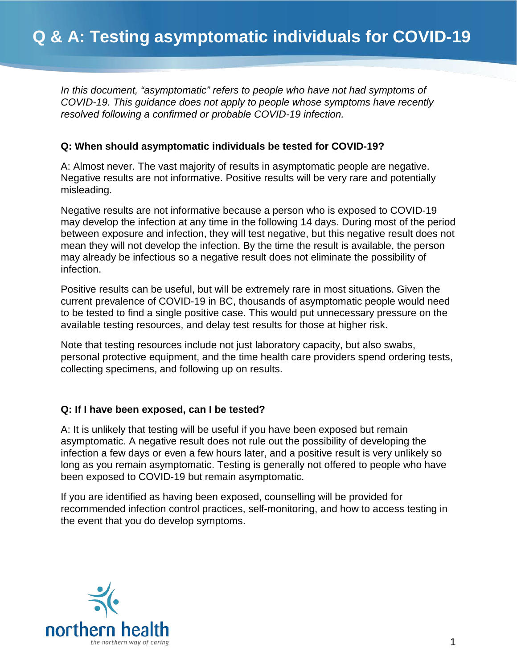*In this document, "asymptomatic" refers to people who have not had symptoms of COVID-19. This guidance does not apply to people whose symptoms have recently resolved following a confirmed or probable COVID-19 infection.*

## **Q: When should asymptomatic individuals be tested for COVID-19?**

A: Almost never. The vast majority of results in asymptomatic people are negative. Negative results are not informative. Positive results will be very rare and potentially misleading.

Negative results are not informative because a person who is exposed to COVID-19 may develop the infection at any time in the following 14 days. During most of the period between exposure and infection, they will test negative, but this negative result does not mean they will not develop the infection. By the time the result is available, the person may already be infectious so a negative result does not eliminate the possibility of infection.

Positive results can be useful, but will be extremely rare in most situations. Given the current prevalence of COVID-19 in BC, thousands of asymptomatic people would need to be tested to find a single positive case. This would put unnecessary pressure on the available testing resources, and delay test results for those at higher risk.

Note that testing resources include not just laboratory capacity, but also swabs, personal protective equipment, and the time health care providers spend ordering tests, collecting specimens, and following up on results.

## **Q: If I have been exposed, can I be tested?**

A: It is unlikely that testing will be useful if you have been exposed but remain asymptomatic. A negative result does not rule out the possibility of developing the infection a few days or even a few hours later, and a positive result is very unlikely so long as you remain asymptomatic. Testing is generally not offered to people who have been exposed to COVID-19 but remain asymptomatic.

If you are identified as having been exposed, counselling will be provided for recommended infection control practices, self-monitoring, and how to access testing in the event that you do develop symptoms.